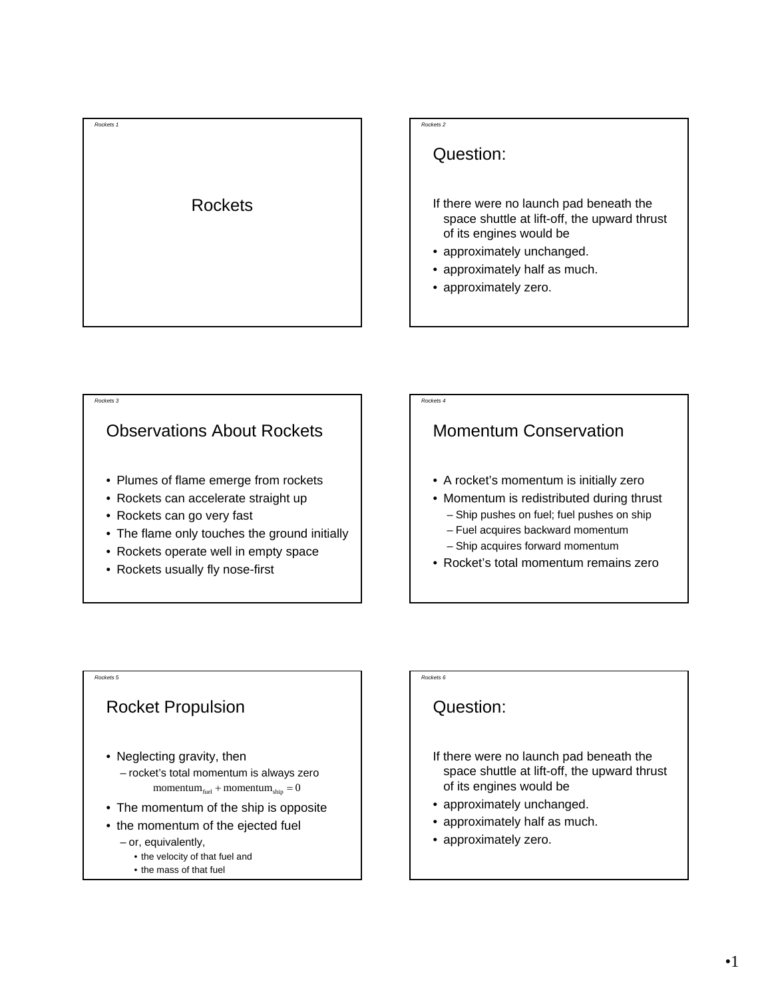

#### *Rockets 2*

## Question:

- If there were no launch pad beneath the space shuttle at lift-off, the upward thrust of its engines would be
- approximately unchanged.
- approximately half as much.
- approximately zero.

# *Rockets 3* Observations About Rockets • Plumes of flame emerge from rockets • Rockets can accelerate straight up • Rockets can go very fast • The flame only touches the ground initially • Rockets operate well in empty space • Rockets usually fly nose-first

# *Rockets 4* Momentum Conservation • A rocket's momentum is initially zero • Momentum is redistributed during thrust – Ship pushes on fuel; fuel pushes on ship – Fuel acquires backward momentum – Ship acquires forward momentum • Rocket's total momentum remains zero

### *Rockets 5*

### Rocket Propulsion

- Neglecting gravity, then
	- rocket's total momentum is always zero  $momentum_{\text{fuel}} + momentum_{\text{ship}} = 0$
- The momentum of the ship is opposite
- the momentum of the ejected fuel
	- or, equivalently,
		- the velocity of that fuel and
		- the mass of that fuel

## Question:

*Rockets 6*

- If there were no launch pad beneath the space shuttle at lift-off, the upward thrust of its engines would be
- approximately unchanged.
- approximately half as much.
- approximately zero.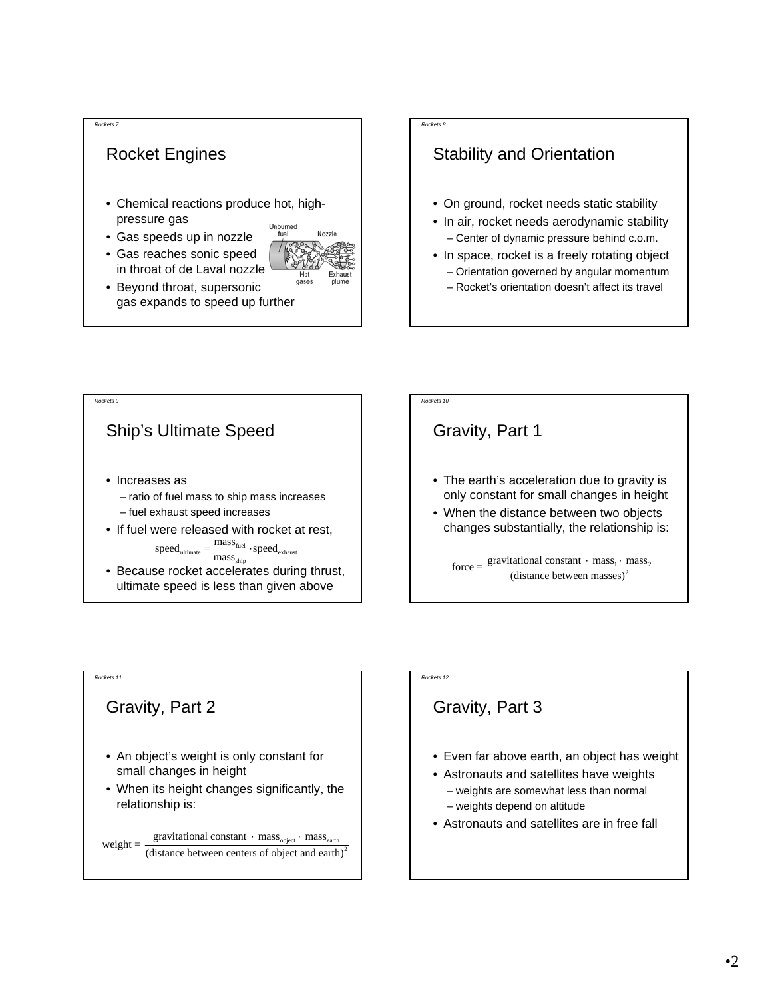







## Gravity, Part 2

*Rockets 11*

- An object's weight is only constant for small changes in height
- When its height changes significantly, the relationship is:

⋅ mass<sub>object</sub> ⋅ mass<sub>earth</sub> weight =  $\frac{\text{gravitational constant} \cdot \text{mass}_{\text{object}} \cdot \text{mass}_{\text{earth}}}{(\text{distance between centers of object and earth})^2}$ 

# *Rockets 12*

# Gravity, Part 3

- Even far above earth, an object has weight
- Astronauts and satellites have weights
	- weights are somewhat less than normal
	- weights depend on altitude
- Astronauts and satellites are in free fall